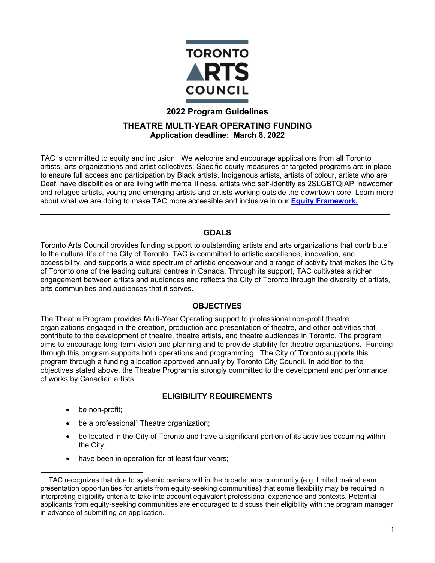

# **2022 Program Guidelines**

#### **THEATRE MULTI-YEAR OPERATING FUNDING Application deadline: March 8, 2022**

TAC is committed to equity and inclusion. We welcome and encourage applications from all Toronto artists, arts organizations and artist collectives. Specific equity measures or targeted programs are in place to ensure full access and participation by Black artists, Indigenous artists, artists of colour, artists who are Deaf, have disabilities or are living with mental illness, artists who self-identify as 2SLGBTQIAP, newcomer and refugee artists, young and emerging artists and artists working outside the downtown core. Learn more about what we are doing to make TAC more accessible and inclusive in our **[Equity Framework.](http://www.torontoartscouncil.org/reports-and-resources/toronto-arts-council-equity-framework/)**

## **[GOALS](http://www.torontoartscouncil.org/reports-and-resources/toronto-arts-council-equity-framework/)**

[Toronto](http://www.torontoartscouncil.org/reports-and-resources/toronto-arts-council-equity-framework/) Arts Council provides funding support to outstanding artists and arts organizations that contribute to the cultural life of the City of Toronto. TAC is committed to artistic excellence, innovation, and accessibility, and supports a wide spectrum of artistic endeavour and a range of activity that makes the City of Toronto one of the leading cultural centres in Canada. Through its support, TAC cultivates a richer engagement between artists and audiences and reflects the City of Toronto through the diversity of artists, arts communities and audiences that it serves.

## **OBJECTIVES**

The Theatre Program provides Multi-Year Operating support to professional non-profit theatre organizations engaged in the creation, production and presentation of theatre, and other activities that contribute to the development of theatre, theatre artists, and theatre audiences in Toronto. The program aims to encourage long-term vision and planning and to provide stability for theatre organizations. Funding through this program supports both operations and programming. The City of Toronto supports this program through a funding allocation approved annually by Toronto City Council. In addition to the objectives stated above, the Theatre Program is strongly committed to the development and performance of works by Canadian artists.

## **ELIGIBILITY REQUIREMENTS**

- be non-profit;
- $\bullet$  be a professional<sup>1</sup> Theatre organization;
- be located in the City of Toronto and have a significant portion of its activities occurring within the City;
- have been in operation for at least four years;

<sup>&</sup>lt;sup>1</sup> TAC recognizes that due to systemic barriers within the broader arts community (e.g. limited mainstream presentation opportunities for artists from equity-seeking communities) that some flexibility may be required in interpreting eligibility criteria to take into account equivalent professional experience and contexts. Potential applicants from equity-seeking communities are encouraged to discuss their eligibility with the program manager in advance of submitting an application.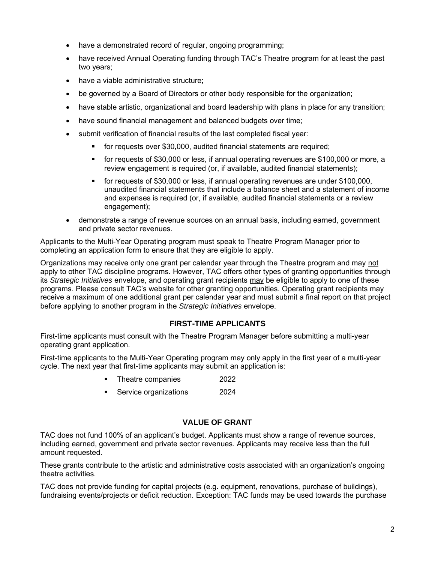- have a demonstrated record of regular, ongoing programming;
- have received Annual Operating funding through TAC's Theatre program for at least the past two years;
- have a viable administrative structure;
- be governed by a Board of Directors or other body responsible for the organization;
- have stable artistic, organizational and board leadership with plans in place for any transition;
- have sound financial management and balanced budgets over time;
- submit verification of financial results of the last completed fiscal year:
	- for requests over \$30,000, audited financial statements are required;
	- for requests of \$30,000 or less, if annual operating revenues are \$100,000 or more, a review engagement is required (or, if available, audited financial statements);
	- for requests of \$30,000 or less, if annual operating revenues are under \$100,000, unaudited financial statements that include a balance sheet and a statement of income and expenses is required (or, if available, audited financial statements or a review engagement);
- demonstrate a range of revenue sources on an annual basis, including earned, government and private sector revenues.

Applicants to the Multi-Year Operating program must speak to Theatre Program Manager prior to completing an application form to ensure that they are eligible to apply.

Organizations may receive only one grant per calendar year through the Theatre program and may not apply to other TAC discipline programs. However, TAC offers other types of granting opportunities through its *Strategic Initiatives* envelope, and operating grant recipients may be eligible to apply to one of these programs. Please consult TAC's website for other granting opportunities. Operating grant recipients may receive a maximum of one additional grant per calendar year and must submit a final report on that project before applying to another program in the *Strategic Initiatives* envelope.

#### **FIRST-TIME APPLICANTS**

First-time applicants must consult with the Theatre Program Manager before submitting a multi-year operating grant application.

First-time applicants to the Multi-Year Operating program may only apply in the first year of a multi-year cycle. The next year that first-time applicants may submit an application is:

- Theatre companies 2022
- Service organizations 2024

#### **VALUE OF GRANT**

TAC does not fund 100% of an applicant's budget. Applicants must show a range of revenue sources, including earned, government and private sector revenues. Applicants may receive less than the full amount requested.

These grants contribute to the artistic and administrative costs associated with an organization's ongoing theatre activities.

TAC does not provide funding for capital projects (e.g. equipment, renovations, purchase of buildings), fundraising events/projects or deficit reduction. Exception: TAC funds may be used towards the purchase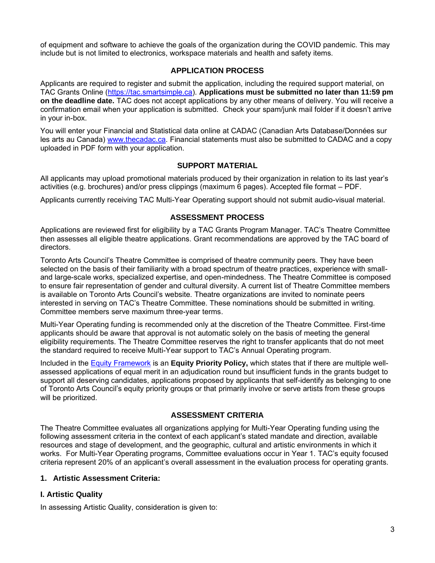of equipment and software to achieve the goals of the organization during the COVID pandemic. This may include but is not limited to electronics, workspace materials and health and safety items.

## **APPLICATION PROCESS**

Applicants are required to register and submit the application, including the required support material, on TAC Grants Online [\(https://tac.smartsimple.ca\)](https://tac.smartsimple.ca/). **[Applications must be su](https://tac.smartsimple.ca/)bmitted no later than 11:59 pm on the deadline date.** TAC does not accept applications by any other means of delivery. You will receive a confirmation email when your application is submitted. Check your spam/junk mail folder if it doesn't arrive in your in-box.

You will enter your Financial and Statistical data online at CADAC (Canadian Arts Database/Données sur les arts au Canada) [www.thecadac.ca. Financial sta](http://www.thecadac.ca/)tements must also be submitted to CADAC and a copy uploaded in PDF form with your application.

## **SUPPORT MATERIAL**

All applicants may upload promotional materials produced by their organization in relation to its last year's activities (e.g. brochures) and/or press clippings (maximum 6 pages). Accepted file format – PDF.

Applicants currently receiving TAC Multi-Year Operating support should not submit audio-visual material.

# **ASSESSMENT PROCESS**

Applications are reviewed first for eligibility by a TAC Grants Program Manager. TAC's Theatre Committee then assesses all eligible theatre applications. Grant recommendations are approved by the TAC board of directors.

Toronto Arts Council's Theatre Committee is comprised of theatre community peers. They have been selected on the basis of their familiarity with a broad spectrum of theatre practices, experience with smalland large-scale works, specialized expertise, and open-mindedness. The Theatre Committee is composed to ensure fair representation of gender and cultural diversity. A current list of Theatre Committee members is available on Toronto Arts Council's website. Theatre organizations are invited to nominate peers interested in serving on TAC's Theatre Committee. These nominations should be submitted in writing. Committee members serve maximum three-year terms.

Multi-Year Operating funding is recommended only at the discretion of the Theatre Committee. First-time applicants should be aware that approval is not automatic solely on the basis of meeting the general eligibility requirements. The Theatre Committee reserves the right to transfer applicants that do not meet the standard required to receive Multi-Year support to TAC's Annual Operating program.

Included in the [Equity Framework](http://www.torontoartscouncil.org/reports-and-resources/toronto-arts-council-equity-framework/) is an **[Equity Pr](http://www.torontoartscouncil.org/reports-and-resources/toronto-arts-council-equity-framework/)iority Policy,** which states that if there are multiple wellassessed applications of equal merit in an adjudication round but insufficient funds in the grants budget to support all deserving candidates, applications proposed by applicants that self-identify as belonging to one of Toronto Arts Council's equity priority groups or that primarily involve or serve artists from these groups will be prioritized.

## **ASSESSMENT CRITERIA**

The Theatre Committee evaluates all organizations applying for Multi-Year Operating funding using the following assessment criteria in the context of each applicant's stated mandate and direction, available resources and stage of development, and the geographic, cultural and artistic environments in which it works. For Multi-Year Operating programs, Committee evaluations occur in Year 1. TAC's equity focused criteria represent 20% of an applicant's overall assessment in the evaluation process for operating grants.

## **1. Artistic Assessment Criteria:**

# **I. Artistic Quality**

In assessing Artistic Quality, consideration is given to: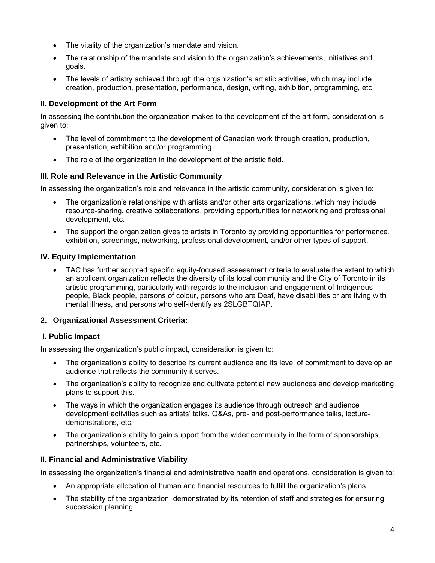- The vitality of the organization's mandate and vision.
- The relationship of the mandate and vision to the organization's achievements, initiatives and goals.
- The levels of artistry achieved through the organization's artistic activities, which may include creation, production, presentation, performance, design, writing, exhibition, programming, etc.

# **II. Development of the Art Form**

In assessing the contribution the organization makes to the development of the art form, consideration is given to:

- The level of commitment to the development of Canadian work through creation, production, presentation, exhibition and/or programming.
- The role of the organization in the development of the artistic field.

## **III. Role and Relevance in the Artistic Community**

In assessing the organization's role and relevance in the artistic community, consideration is given to:

- The organization's relationships with artists and/or other arts organizations, which may include resource-sharing, creative collaborations, providing opportunities for networking and professional development, etc.
- The support the organization gives to artists in Toronto by providing opportunities for performance, exhibition, screenings, networking, professional development, and/or other types of support.

#### **IV. Equity Implementation**

• TAC has further adopted specific equity-focused assessment criteria to evaluate the extent to which an applicant organization reflects the diversity of its local community and the City of Toronto in its artistic programming, particularly with regards to the inclusion and engagement of Indigenous people, Black people, persons of colour, persons who are Deaf, have disabilities or are living with mental illness, and persons who self-identify as 2SLGBTQIAP.

## **2. Organizational Assessment Criteria:**

## **I. Public Impact**

In assessing the organization's public impact, consideration is given to:

- The organization's ability to describe its current audience and its level of commitment to develop an audience that reflects the community it serves.
- The organization's ability to recognize and cultivate potential new audiences and develop marketing plans to support this.
- The ways in which the organization engages its audience through outreach and audience development activities such as artists' talks, Q&As, pre- and post-performance talks, lecturedemonstrations, etc.
- The organization's ability to gain support from the wider community in the form of sponsorships, partnerships, volunteers, etc.

## **II. Financial and Administrative Viability**

In assessing the organization's financial and administrative health and operations, consideration is given to:

- An appropriate allocation of human and financial resources to fulfill the organization's plans.
- The stability of the organization, demonstrated by its retention of staff and strategies for ensuring succession planning.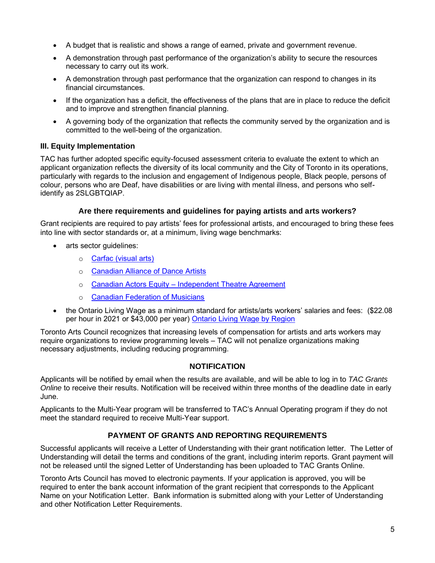- A budget that is realistic and shows a range of earned, private and government revenue.
- A demonstration through past performance of the organization's ability to secure the resources necessary to carry out its work.
- A demonstration through past performance that the organization can respond to changes in its financial circumstances.
- If the organization has a deficit, the effectiveness of the plans that are in place to reduce the deficit and to improve and strengthen financial planning.
- A governing body of the organization that reflects the community served by the organization and is committed to the well-being of the organization.

#### **III. Equity Implementation**

TAC has further adopted specific equity-focused assessment criteria to evaluate the extent to which an applicant organization reflects the diversity of its local community and the City of Toronto in its operations, particularly with regards to the inclusion and engagement of Indigenous people, Black people, persons of colour, persons who are Deaf, have disabilities or are living with mental illness, and persons who selfidentify as 2SLGBTQIAP.

#### **Are there requirements and guidelines for paying artists and arts workers?**

Grant recipients are required to pay artists' fees for professional artists, and encouraged to bring these fees into line with sector standards or, at a minimum, living wage benchmarks:

- arts sector guidelines:
	- o [Carfac \(visual arts\)](https://carfac-raav.ca/2021-en/)
	- o [Canadian Alliance of Dance Artists](https://cadaontario.camp8.org/psd_04_fees_payments#minfee)
	- o [Canadian Actors Equity –](https://cadaontario.camp8.org/psd_04_fees_payments#minfee) [Independent Theatre Agreement](https://www.caea.com/Portals/0/Documents/Theatre/ITAMinimumFees.pdf)
	- o [Canadian Federation of Musicians](https://cfmusicians.afm.org/uploads/file/NFB-CFM%202015-2020%20English%20Version%20February%201%202016%20Clean.pdf)
- [the Ontario Living W](https://www.caea.com/Portals/0/Documents/Theatre/ITAMinimumFees.pdf)[age as a min](https://cfmusicians.afm.org/uploads/file/NFB-CFM 2015-2020 English Version February 1 2016 Clean.pdf)imum standard for artists/arts workers' salaries and fees: (\$22.08 per hour in 2021 or \$43,000 per year) [Ontario Living Wage by Region](https://www.ontariolivingwage.ca/living_wage_by_region)

[Toronto Arts Council recogniz](https://www.ontariolivingwage.ca/living_wage_by_region)es that increasing levels of compensation for artists and arts workers may require organizations to review programming levels – TAC will not penalize organizations making necessary adjustments, including reducing programming.

## **NOTIFICATION**

Applicants will be notified by email when the results are available, and will be able to log in to *TAC Grants Online* to receive their results. Notification will be received within three months of the deadline date in early June.

Applicants to the Multi-Year program will be transferred to TAC's Annual Operating program if they do not meet the standard required to receive Multi-Year support.

## **PAYMENT OF GRANTS AND REPORTING REQUIREMENTS**

Successful applicants will receive a Letter of Understanding with their grant notification letter. The Letter of Understanding will detail the terms and conditions of the grant, including interim reports. Grant payment will not be released until the signed Letter of Understanding has been uploaded to TAC Grants Online.

Toronto Arts Council has moved to electronic payments. If your application is approved, you will be required to enter the bank account information of the grant recipient that corresponds to the Applicant Name on your Notification Letter. Bank information is submitted along with your Letter of Understanding and other Notification Letter Requirements.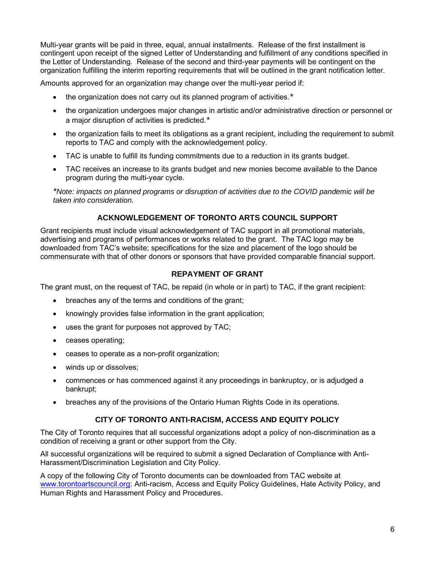Multi-year grants will be paid in three, equal, annual installments. Release of the first installment is contingent upon receipt of the signed Letter of Understanding and fulfillment of any conditions specified in the Letter of Understanding. Release of the second and third-year payments will be contingent on the organization fulfilling the interim reporting requirements that will be outlined in the grant notification letter.

Amounts approved for an organization may change over the multi-year period if:

- the organization does not carry out its planned program of activities.*\**
- the organization undergoes major changes in artistic and/or administrative direction or personnel or a major disruption of activities is predicted.*\**
- the organization fails to meet its obligations as a grant recipient, including the requirement to submit reports to TAC and comply with the acknowledgement policy.
- TAC is unable to fulfill its funding commitments due to a reduction in its grants budget.
- TAC receives an increase to its grants budget and new monies become available to the Dance program during the multi-year cycle.

*\*Note: impacts on planned programs or disruption of activities due to the COVID pandemic will be taken into consideration.*

# **ACKNOWLEDGEMENT OF TORONTO ARTS COUNCIL SUPPORT**

Grant recipients must include visual acknowledgement of TAC support in all promotional materials, advertising and programs of performances or works related to the grant. The TAC logo may be downloaded from TAC's website; specifications for the size and placement of the logo should be commensurate with that of other donors or sponsors that have provided comparable financial support.

## **REPAYMENT OF GRANT**

The grant must, on the request of TAC, be repaid (in whole or in part) to TAC, if the grant recipient:

- breaches any of the terms and conditions of the grant;
- knowingly provides false information in the grant application;
- uses the grant for purposes not approved by TAC;
- ceases operating;
- ceases to operate as a non-profit organization;
- winds up or dissolves;
- commences or has commenced against it any proceedings in bankruptcy, or is adjudged a bankrupt;
- breaches any of the provisions of the Ontario Human Rights Code in its operations.

## **CITY OF TORONTO ANTI-RACISM, ACCESS AND EQUITY POLICY**

The City of Toronto requires that all successful organizations adopt a policy of non-discrimination as a condition of receiving a grant or other support from the City.

All successful organizations will be required to submit a signed Declaration of Compliance with Anti-Harassment/Discrimination Legislation and City Policy.

A copy of the following City of Toronto documents can be downloaded from TAC website at [www.torontoartscouncil.org: Anti-racism, Access and](http://www.torontoartscouncil.org/) Equity Policy Guidelines, Hate Activity Policy, and Human Rights and Harassment Policy and Procedures.